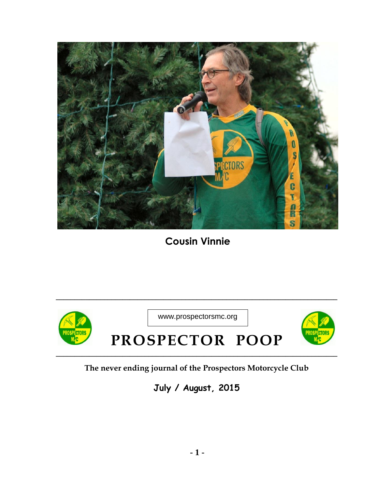

**Cousin Vinnie**



## **The never ending journal of the Prospectors Motorcycle Club**

**July / August, 2015**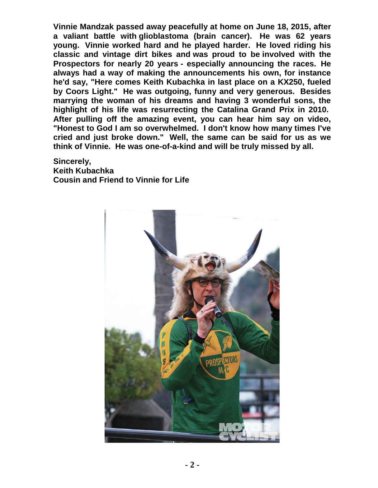**Vinnie Mandzak passed away peacefully at home on June 18, 2015, after a valiant battle with glioblastoma (brain cancer). He was 62 years young. Vinnie worked hard and he played harder. He loved riding his classic and vintage dirt bikes and was proud to be involved with the Prospectors for nearly 20 years - especially announcing the races. He always had a way of making the announcements his own, for instance he'd say, "Here comes Keith Kubachka in last place on a KX250, fueled by Coors Light." He was outgoing, funny and very generous. Besides marrying the woman of his dreams and having 3 wonderful sons, the highlight of his life was resurrecting the Catalina Grand Prix in 2010. After pulling off the amazing event, you can hear him say on video, "Honest to God I am so overwhelmed. I don't know how many times I've cried and just broke down." Well, the same can be said for us as we think of Vinnie. He was one-of-a-kind and will be truly missed by all.** 

**Sincerely, Keith Kubachka Cousin and Friend to Vinnie for Life** 

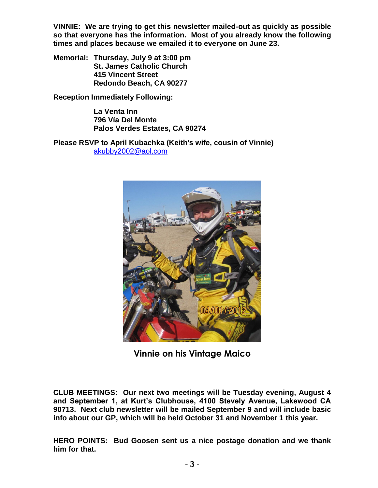**VINNIE: We are trying to get this newsletter mailed-out as quickly as possible so that everyone has the information. Most of you already know the following times and places because we emailed it to everyone on June 23.** 

**Memorial: Thursday, July 9 at 3:00 pm St. James Catholic Church 415 Vincent Street Redondo Beach, CA 90277** 

**Reception Immediately Following:** 

**La Venta Inn 796 Vía Del Monte Palos Verdes Estates, CA 90274**

**Please RSVP to April Kubachka (Keith's wife, cousin of Vinnie)** [akubby2002@aol.com](mailto:akubby2002@aol.com)



**Vinnie on his Vintage Maico**

**CLUB MEETINGS: Our next two meetings will be Tuesday evening, August 4 and September 1, at Kurt's Clubhouse, 4100 Stevely Avenue, Lakewood CA 90713. Next club newsletter will be mailed September 9 and will include basic info about our GP, which will be held October 31 and November 1 this year.**

**HERO POINTS: Bud Goosen sent us a nice postage donation and we thank him for that.**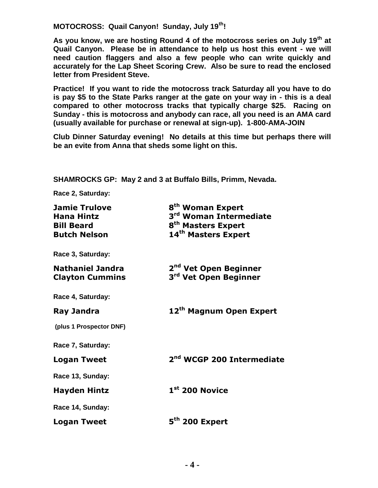**MOTOCROSS: Quail Canyon! Sunday, July 19th!** 

**As you know, we are hosting Round 4 of the motocross series on July 19th at Quail Canyon. Please be in attendance to help us host this event - we will need caution flaggers and also a few people who can write quickly and accurately for the Lap Sheet Scoring Crew. Also be sure to read the enclosed letter from President Steve.** 

**Practice! If you want to ride the motocross track Saturday all you have to do is pay \$5 to the State Parks ranger at the gate on your way in - this is a deal compared to other motocross tracks that typically charge \$25. Racing on Sunday - this is motocross and anybody can race, all you need is an AMA card (usually available for purchase or renewal at sign-up). 1-800-AMA-JOIN** 

**Club Dinner Saturday evening! No details at this time but perhaps there will be an evite from Anna that sheds some light on this.** 

**SHAMROCKS GP: May 2 and 3 at Buffalo Bills, Primm, Nevada.** 

**Race 2, Saturday:** 

| <b>Jamie Trulove</b><br><b>Hana Hintz</b><br><b>Bill Beard</b><br><b>Butch Nelson</b> | 8 <sup>th</sup> Woman Expert<br>3 <sup>rd</sup> Woman Intermediate<br>8 <sup>th</sup> Masters Expert<br>14 <sup>th</sup> Masters Expert |
|---------------------------------------------------------------------------------------|-----------------------------------------------------------------------------------------------------------------------------------------|
| Race 3, Saturday:                                                                     |                                                                                                                                         |
| <b>Nathaniel Jandra</b><br><b>Clayton Cummins</b>                                     | 2 <sup>nd</sup> Vet Open Beginner<br>3 <sup>rd</sup> Vet Open Beginner                                                                  |
| Race 4, Saturday:                                                                     |                                                                                                                                         |
| <b>Ray Jandra</b>                                                                     | 12 <sup>th</sup> Magnum Open Expert                                                                                                     |
| (plus 1 Prospector DNF)                                                               |                                                                                                                                         |
| Race 7, Saturday:                                                                     |                                                                                                                                         |
| <b>Logan Tweet</b>                                                                    | 2 <sup>nd</sup> WCGP 200 Intermediate                                                                                                   |
| Race 13, Sunday:                                                                      |                                                                                                                                         |
| <b>Hayden Hintz</b>                                                                   | $1st$ 200 Novice                                                                                                                        |
| Race 14, Sunday:                                                                      |                                                                                                                                         |
| <b>Logan Tweet</b>                                                                    | 5 <sup>th</sup> 200 Expert                                                                                                              |